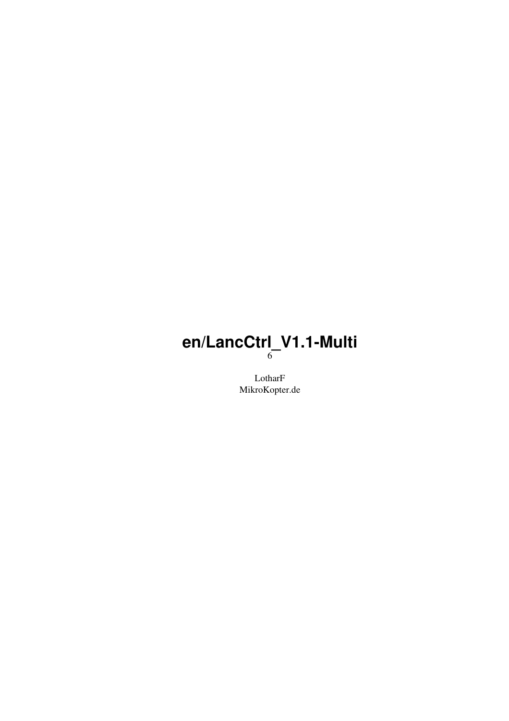# en/LancCtrl\_V1.1-Multi

LotharF MikroKopter.de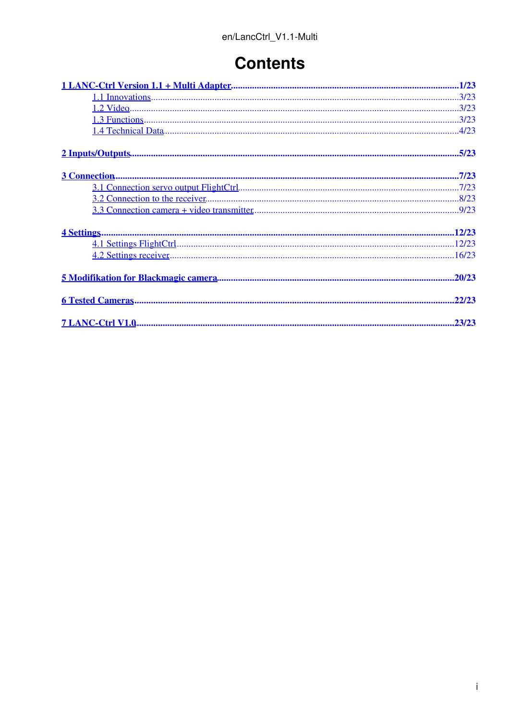### **Contents**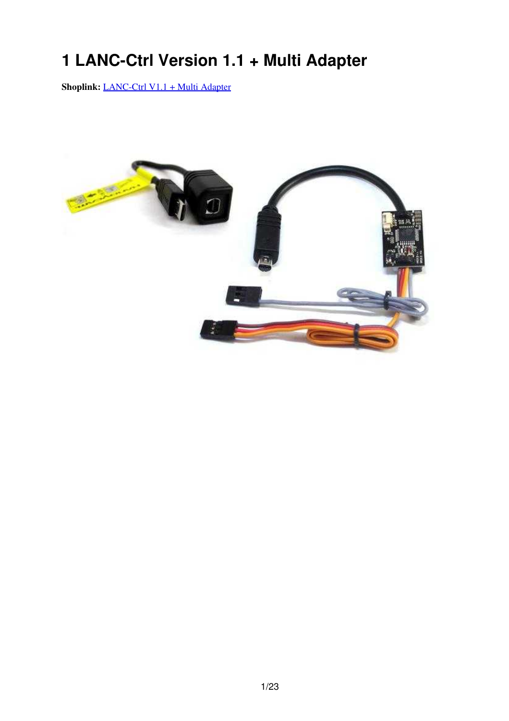## <span id="page-2-0"></span>**1 LANC-Ctrl Version 1.1 + Multi Adapter**

**Shoplink:** [LANC-Ctrl V1.1 + Multi Adapter](https://www.mikrocontroller.com/index.php?main_page=product_info&cPath=112&products_id=797&zenid=c1cd02d9f7bfb16c35f119f9e8763478)

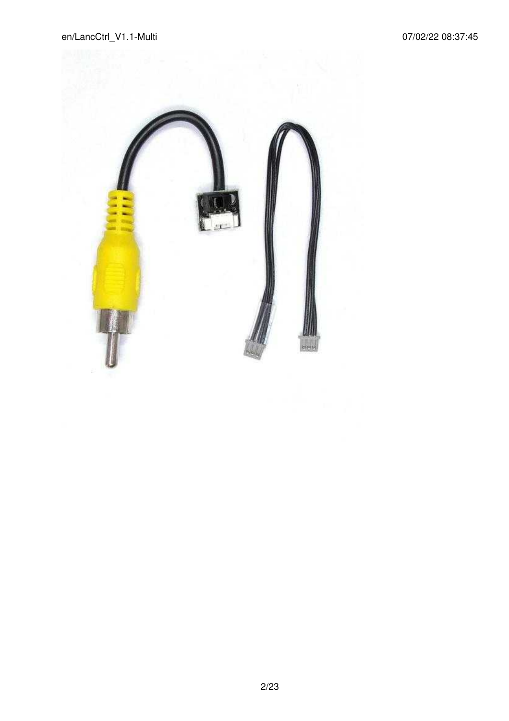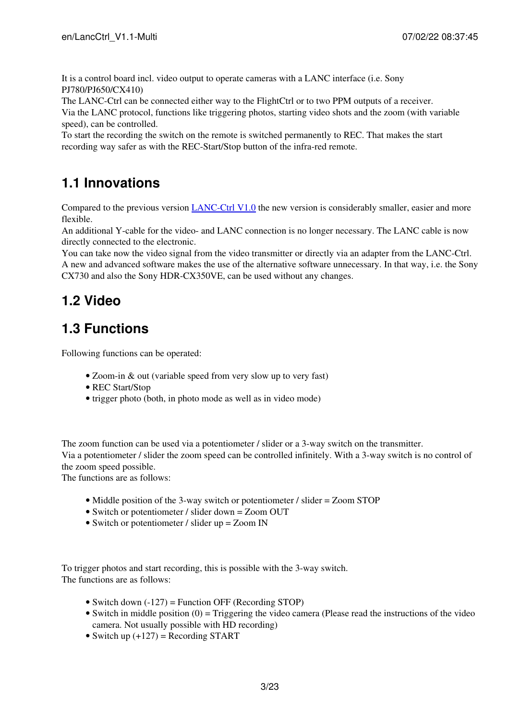It is a control board incl. video output to operate cameras with a LANC interface (i.e. Sony PJ780/PJ650/CX410)

The LANC-Ctrl can be connected either way to the FlightCtrl or to two PPM outputs of a receiver.

Via the LANC protocol, functions like triggering photos, starting video shots and the zoom (with variable speed), can be controlled.

To start the recording the switch on the remote is switched permanently to REC. That makes the start recording way safer as with the REC-Start/Stop button of the infra-red remote.

#### <span id="page-4-0"></span>**1.1 Innovations**

Compared to the previous version  $\text{LANC-Ctrl}$  V1.0 the new version is considerably smaller, easier and more flexible.

An additional Y-cable for the video- and LANC connection is no longer necessary. The LANC cable is now directly connected to the electronic.

You can take now the video signal from the video transmitter or directly via an adapter from the LANC-Ctrl. A new and advanced software makes the use of the alternative software unnecessary. In that way, i.e. the Sony CX730 and also the Sony HDR-CX350VE, can be used without any changes.

#### <span id="page-4-1"></span>**1.2 Video**

#### <span id="page-4-2"></span>**1.3 Functions**

Following functions can be operated:

- Zoom-in & out (variable speed from very slow up to very fast)
- REC Start/Stop
- trigger photo (both, in photo mode as well as in video mode)

The zoom function can be used via a potentiometer / slider or a 3-way switch on the transmitter. Via a potentiometer / slider the zoom speed can be controlled infinitely. With a 3-way switch is no control of the zoom speed possible.

The functions are as follows:

- Middle position of the 3-way switch or potentiometer / slider = Zoom STOP
- Switch or potentiometer / slider down = Zoom OUT
- Switch or potentiometer / slider up = Zoom IN

To trigger photos and start recording, this is possible with the 3-way switch. The functions are as follows:

- Switch down (-127) = Function OFF (Recording STOP)
- Switch in middle position (0) = Triggering the video camera (Please read the instructions of the video camera. Not usually possible with HD recording)
- Switch up  $(+127)$  = Recording START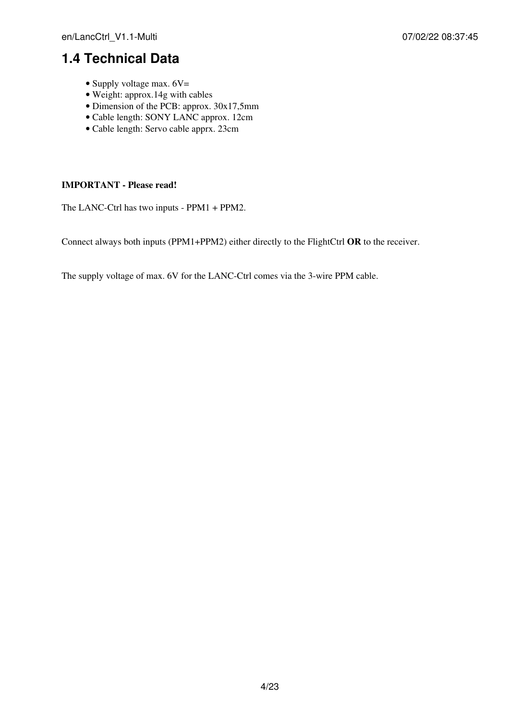#### <span id="page-5-0"></span>**1.4 Technical Data**

- Supply voltage max. 6V=
- Weight: approx.14g with cables
- Dimension of the PCB: approx. 30x17,5mm
- Cable length: SONY LANC approx. 12cm
- Cable length: Servo cable apprx. 23cm

#### **IMPORTANT - Please read!**

The LANC-Ctrl has two inputs - PPM1 + PPM2.

Connect always both inputs (PPM1+PPM2) either directly to the FlightCtrl **OR** to the receiver.

The supply voltage of max. 6V for the LANC-Ctrl comes via the 3-wire PPM cable.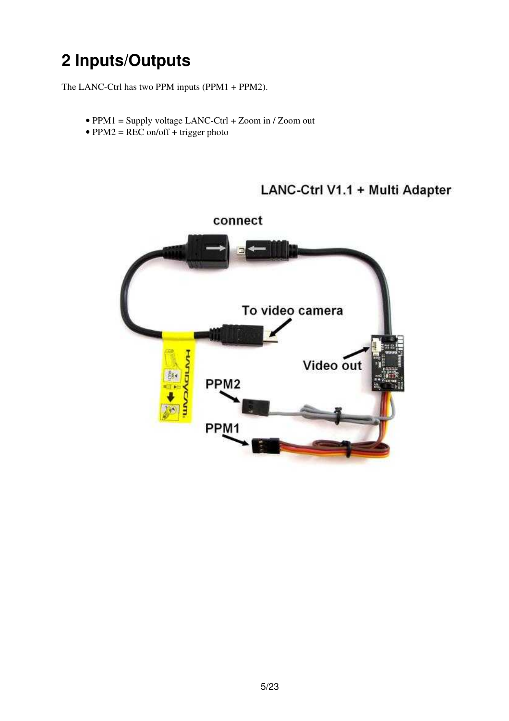## <span id="page-6-0"></span>**2 Inputs/Outputs**

The LANC-Ctrl has two PPM inputs (PPM1 + PPM2).

- PPM1 = Supply voltage LANC-Ctrl + Zoom in / Zoom out
- PPM2 = REC on/off + trigger photo

### LANC-Ctrl V1.1 + Multi Adapter

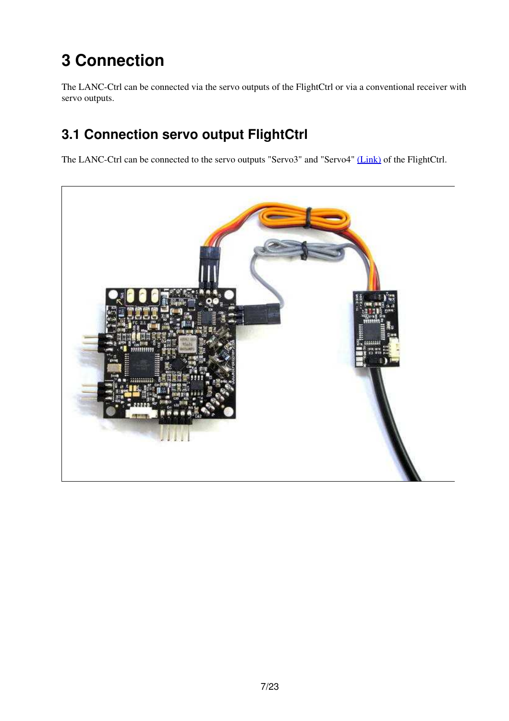## <span id="page-8-0"></span>**3 Connection**

The LANC-Ctrl can be connected via the servo outputs of the FlightCtrl or via a conventional receiver with servo outputs.

### <span id="page-8-1"></span>**3.1 Connection servo output FlightCtrl**

The LANC-Ctrl can be connected to the servo outputs "Servo3" and "Servo4" [\(Link\)](https://wiki.mikrokopter.de/en/FlightCtrl_ME_2_1) of the FlightCtrl.

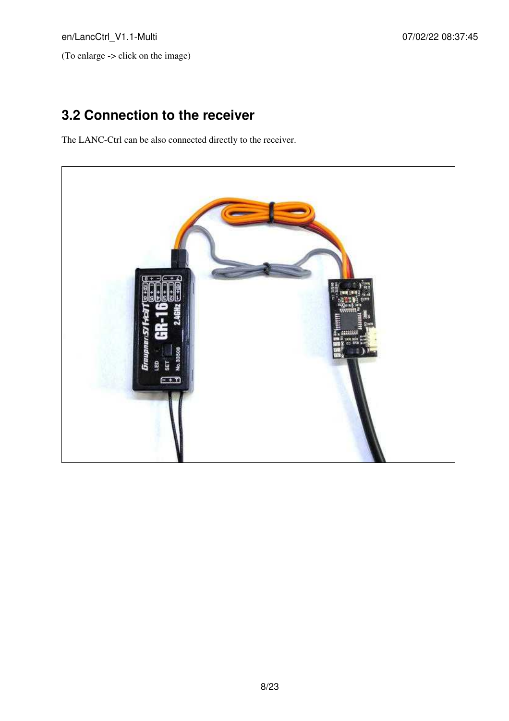(To enlarge -> click on the image)

### <span id="page-9-0"></span>**3.2 Connection to the receiver**

The LANC-Ctrl can be also connected directly to the receiver.

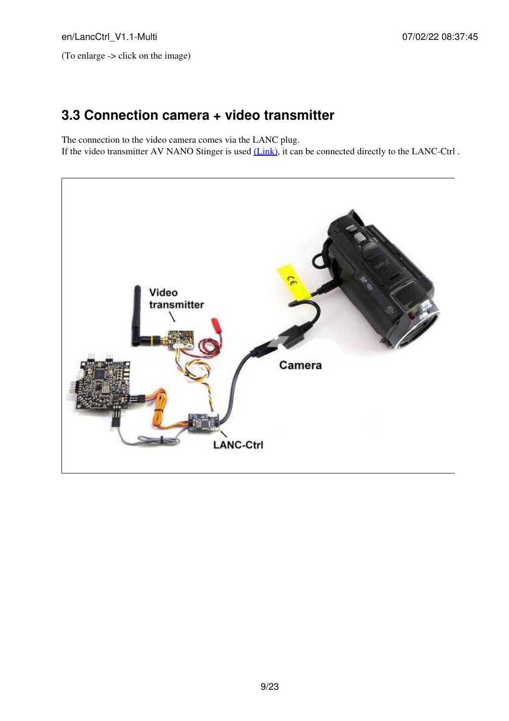(To enlarge -> click on the image)

### <span id="page-10-0"></span>**3.3 Connection camera + video transmitter**

The connection to the video camera comes via the LANC plug.

If the video transmitter AV NANO Stinger is used [\(Link\),](https://www.mikrocontroller.com/index.php?main_page=product_info&cPath=112&products_id=679) it can be connected directly to the LANC-Ctrl .

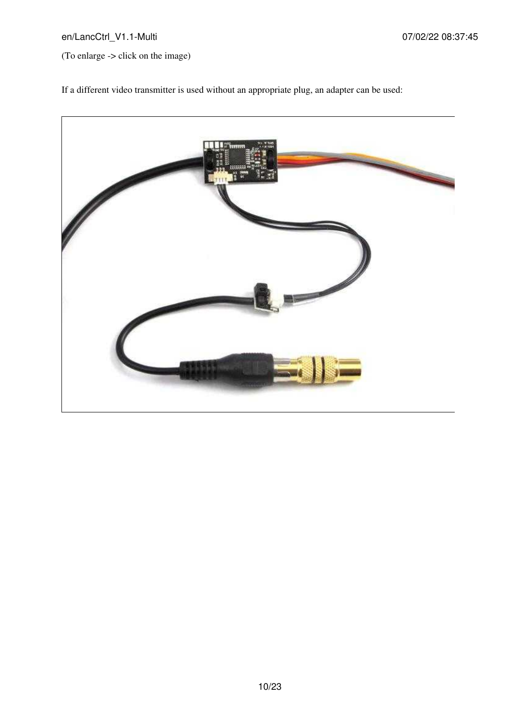en/LancCtrl\_V1.1-Multi 07/02/22 08:37:45

(To enlarge -> click on the image)

If a different video transmitter is used without an appropriate plug, an adapter can be used:

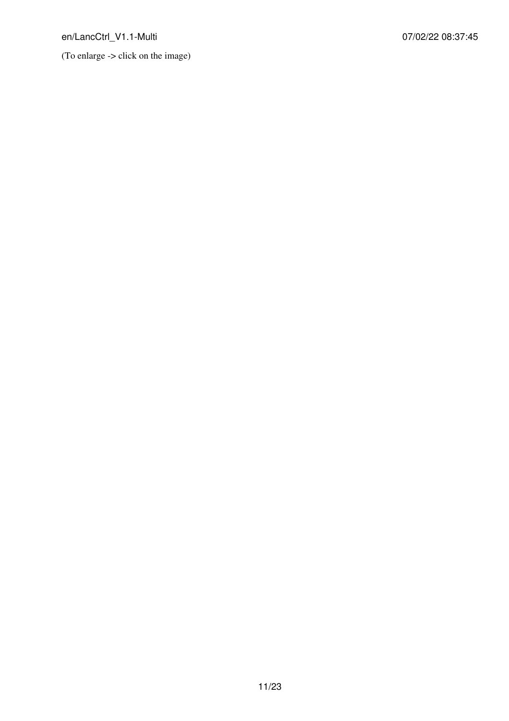en/LancCtrl\_V1.1-Multi 07/02/22 08:37:45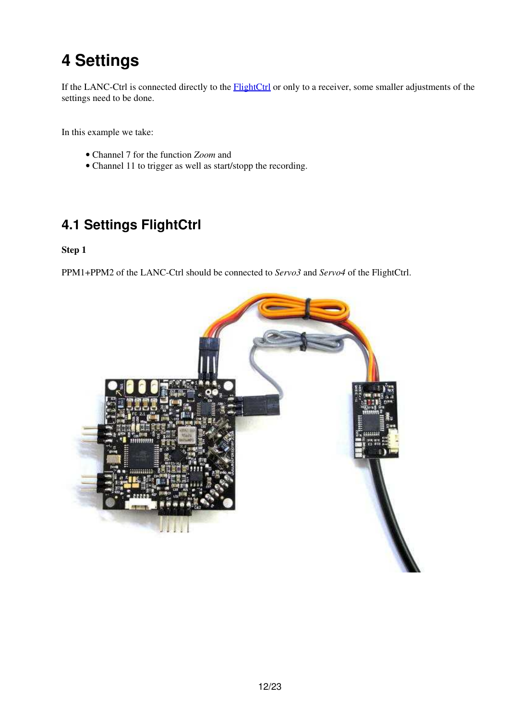## <span id="page-13-0"></span>**4 Settings**

If the LANC-Ctrl is connected directly to the **FlightCtrl** or only to a receiver, some smaller adjustments of the settings need to be done.

In this example we take:

- Channel 7 for the function *Zoom* and
- Channel 11 to trigger as well as start/stopp the recording.

### <span id="page-13-1"></span>**4.1 Settings FlightCtrl**

#### **Step 1**

PPM1+PPM2 of the LANC-Ctrl should be connected to *Servo3* and *Servo4* of the FlightCtrl.

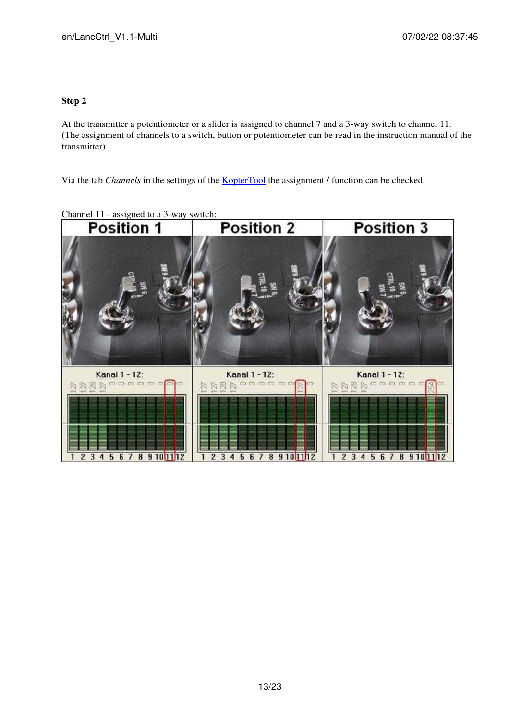#### **Step 2**

At the transmitter a potentiometer or a slider is assigned to channel 7 and a 3-way switch to channel 11. (The assignment of channels to a switch, button or potentiometer can be read in the instruction manual of the transmitter)

Via the tab *Channels* in the settings of the **KopterTool** the assignment / function can be checked.



Channel 11 - assigned to a 3-way switch: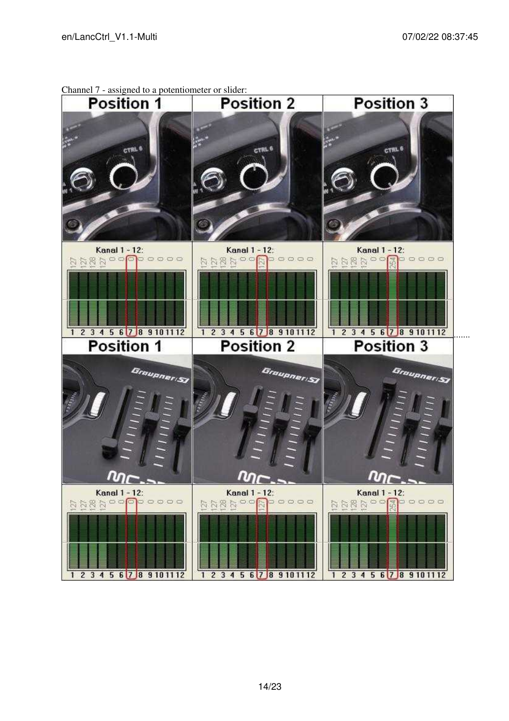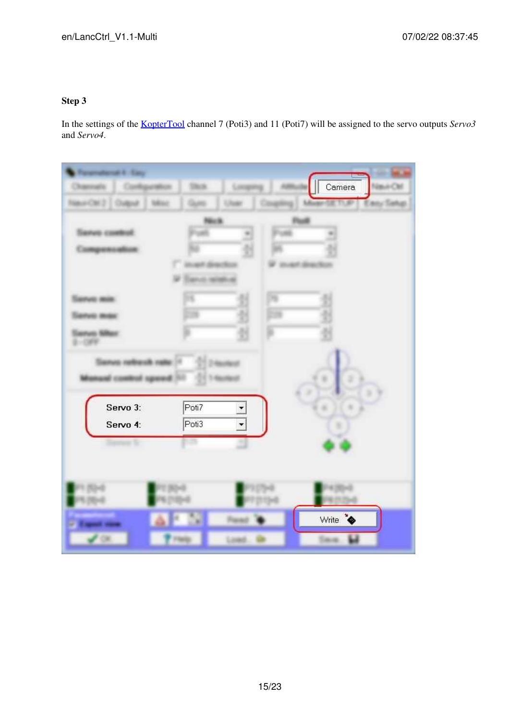#### **Step 3**

In the settings of the [KopterTool](https://wiki.mikrokopter.de/KopterTool) channel 7 (Poti3) and 11 (Poti7) will be assigned to the servo outputs *Servo3* and *Servo4*.

| <b>Paramaterial A</b>                      |                |   | W       |           |
|--------------------------------------------|----------------|---|---------|-----------|
|                                            | <b>Started</b> |   | Camera  | Nasir Orl |
| New OK 2<br><b>Challend</b><br><b>Mind</b> |                |   |         |           |
|                                            | u B            |   |         |           |
|                                            |                |   |         |           |
|                                            |                |   |         |           |
|                                            |                |   |         |           |
|                                            |                |   |         |           |
|                                            |                |   |         |           |
|                                            |                |   |         |           |
|                                            |                |   |         |           |
| B rights (ii)                              |                |   |         |           |
|                                            |                |   |         |           |
|                                            |                |   |         |           |
| Servo 3:                                   | Poti7          |   |         |           |
| Servo 4:                                   | Poti3          | Y |         |           |
| <b>Server Sc</b>                           | a              |   |         |           |
|                                            |                |   |         |           |
|                                            |                |   |         |           |
|                                            |                |   |         |           |
|                                            |                |   |         |           |
|                                            |                |   | Write * |           |
| $^{10}$                                    |                |   |         |           |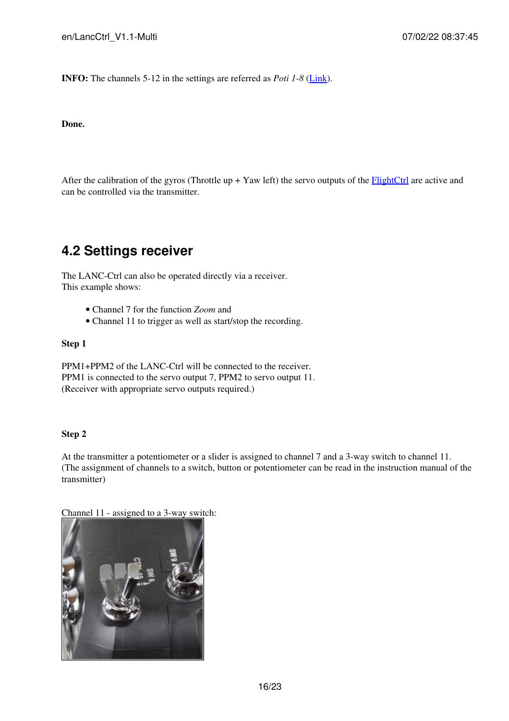**INFO:** The channels 5-12 in the settings are referred as *Poti 1-8* (*[Link](https://wiki.mikrokopter.de/MK-Parameter/Channels)*).

**Done.**

After the calibration of the gyros (Throttle up + Yaw left) the servo outputs of the  $FlightCtrl$  are active and can be controlled via the transmitter.

#### <span id="page-17-0"></span>**4.2 Settings receiver**

The LANC-Ctrl can also be operated directly via a receiver. This example shows:

- Channel 7 for the function *Zoom* and
- Channel 11 to trigger as well as start/stop the recording.

#### **Step 1**

PPM1+PPM2 of the LANC-Ctrl will be connected to the receiver. PPM1 is connected to the servo output 7, PPM2 to servo output 11. (Receiver with appropriate servo outputs required.)

#### **Step 2**

At the transmitter a potentiometer or a slider is assigned to channel 7 and a 3-way switch to channel 11. (The assignment of channels to a switch, button or potentiometer can be read in the instruction manual of the transmitter)

Channel 11 - assigned to a 3-way switch:

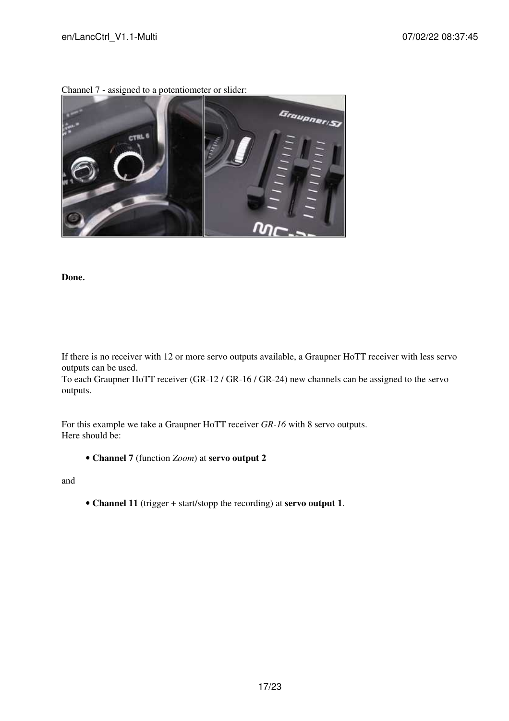

Channel 7 - assigned to a potentiometer or slider:

**Done.**

If there is no receiver with 12 or more servo outputs available, a Graupner HoTT receiver with less servo outputs can be used.

To each Graupner HoTT receiver (GR-12 / GR-16 / GR-24) new channels can be assigned to the servo outputs.

For this example we take a Graupner HoTT receiver *GR-16* with 8 servo outputs. Here should be:

• **Channel 7** (function *Zoom*) at **servo output 2**

and

• **Channel 11** (trigger + start/stopp the recording) at **servo output 1**.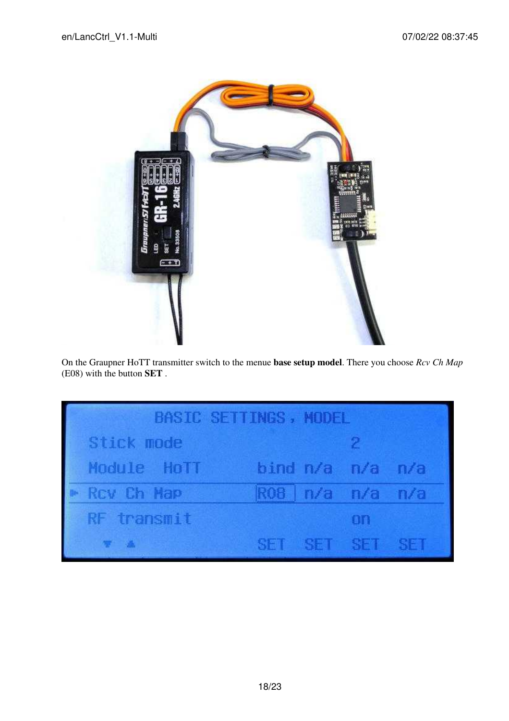

On the Graupner HoTT transmitter switch to the menue **base setup model**. There you choose *Rcv Ch Map* (E08) with the button **SET** .

|             | <b>BASIC SETTINGS, MODEL</b> |                   |                |     |
|-------------|------------------------------|-------------------|----------------|-----|
| Stick mode  |                              |                   | 2              |     |
| Module HoTT |                              | bind n/a n/a      |                | n/a |
| Roy Ch Hap  |                              | ROB   n/a n/a n/a |                |     |
| RF transmit |                              |                   | 0 <sub>0</sub> |     |
|             |                              | SET SET SET       |                |     |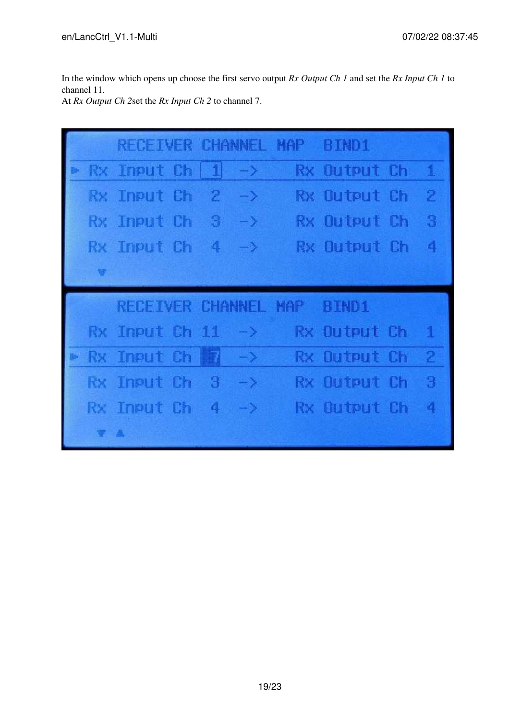In the window which opens up choose the first servo output *Rx Output Ch 1* and set the *Rx Input Ch 1* to channel 11.

At *Rx Output Ch 2*set the *Rx Input Ch 2* to channel 7.

|           | RECEIVER CHANNEL MAP      |     |   |                |             | <b>BIND1</b>        |           |                |
|-----------|---------------------------|-----|---|----------------|-------------|---------------------|-----------|----------------|
| RX.       | Input Ch                  |     | 1 | $\rightarrow$  | <b>RX</b>   | <b>Output Ch</b>    |           | $\perp$        |
| RX.       | Input Ch                  |     | 2 | $\rightarrow$  | Rx.         | Output Ch           |           | 2              |
| Rx        | Input Ch                  |     | 3 | $\rightarrow$  | Rx.         | Output              | <b>Ch</b> | 3              |
| Rx        | Input Ch                  |     | 4 | $ \rightarrow$ | <b>NX</b>   | Output Ch           |           | 4              |
| W.        |                           |     |   |                |             |                     |           |                |
|           | RECEIVER CHANNEL MAP      |     |   |                |             |                     |           |                |
|           |                           |     |   |                |             | BIND1               |           |                |
| Rx        | Input Ch $11 \rightarrow$ |     |   |                |             | Rx Output Ch        |           | 1              |
| Rx.       | Input                     | -Ch | n | $\rightarrow$  | Rx.         | Output              | <b>Ch</b> | $\overline{2}$ |
| <b>Rx</b> | Input Ch                  |     | 3 | $ \mathbf{y}$  |             | <b>Rx Output Ch</b> |           | 3              |
| RX        | Input Ch                  |     | 4 | $ \rightarrow$ | <b>R</b> SC | <b>Butput Ch</b>    |           | 4              |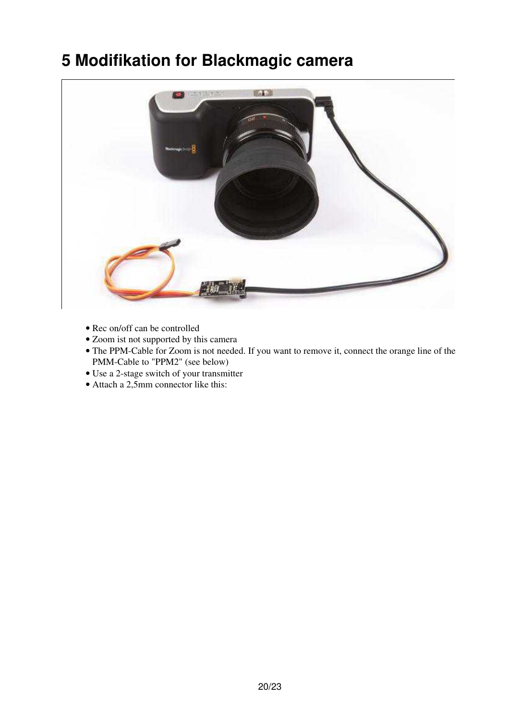## **5 Modifikation for Blackmagic camera**

<span id="page-21-0"></span>

- Rec on/off can be controlled
- Zoom ist not supported by this camera
- The PPM-Cable for Zoom is not needed. If you want to remove it, connect the orange line of the PMM-Cable to "PPM2" (see below)
- Use a 2-stage switch of your transmitter
- Attach a 2,5mm connector like this: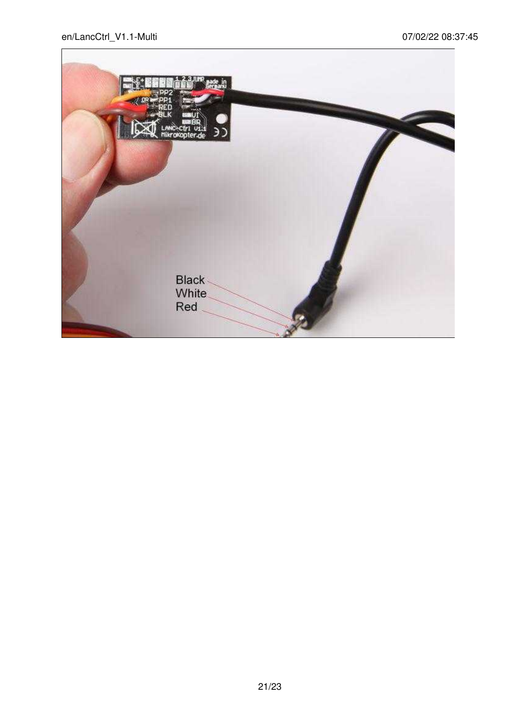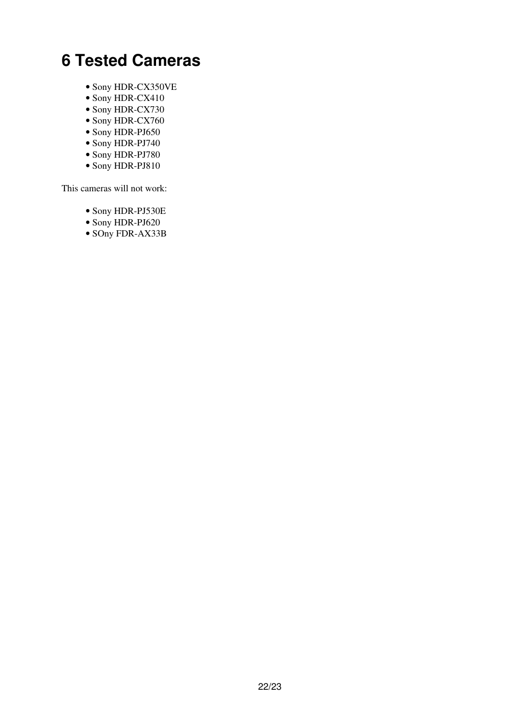### <span id="page-23-0"></span>**6 Tested Cameras**

- Sony HDR-CX350VE
- Sony HDR-CX410
- Sony HDR-CX730
- Sony HDR-CX760
- Sony HDR-PJ650
- Sony HDR-PJ740
- Sony HDR-PJ780
- Sony HDR-PJ810

This cameras will not work:

- Sony HDR-PJ530E
- Sony HDR-PJ620
- SOny FDR-AX33B